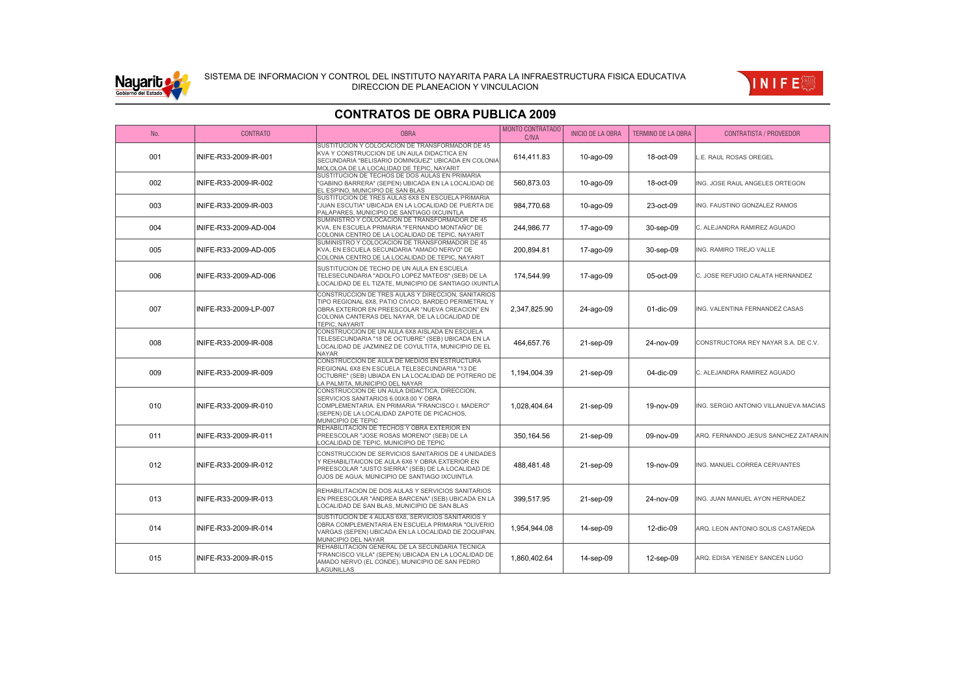



#### No. CONTRATO OBRA MONTO CONTRATADO MONTO CONTRATADO | INICIO DE LA OBRA | TERMINO DE LA OBRA | CONTRATISTA / PROVEEDOR 001 INIFE-R33-2009-IR-001 SUSTITUCION Y COLOCACION DE TRANSFORMADOR DE 45 KVA Y CONSTRUCCION DE UN AULA DIDACTICA EN SECUNDARIA "BELISARIO DOMINGUEZ" UBICADA EN COLONIA MOLOLOA DE LA LOCALIDAD DE TEPIC, NAYARIT 614,411.83 10-ago-09 18-oct-09 L.E. RAUL ROSAS OREGEL 002 INIFE-R33-2009-IR-002 SUSTITUCION DE TECHOS DE DOS AULAS EN PRIMARIA "GABINO BARRERA" (SEPEN) UBICADA EN LA LOCALIDAD DE EL ESPINO, MUNICIPIO DE SAN BLAS 560,873.03 10-ago-09 18-oct-09 ING. JOSE RAUL ANGELES ORTEGON 003 INIFE-R33-2009-IR-003 SUSTITUCION DE TRES AULAS 6X8 EN ESCUELA PRIMARIA "JUAN ESCUTIA" UBICADA EN LA LOCALIDAD DE PUERTA DE PALAPARES, MUNICIPIO DE SANTIAGO IXCUINTLA 984,770.68 10-ago-09 23-oct-09 ING. FAUSTINO GONZALEZ RAMOS 004 INIFE-R33-2009-AD-004 SUMINISTRO Y COLOCACION DE TRANSFORMADOR DE 45 KVA, EN ESCUELA PRIMARIA "FERNANDO MONTAÑO" DE COLONIA CENTRO DE LA LOCALIDAD DE TEPIC, NAYARIT 244,986.77 17-ago-09 30-sep-09 C. ALEJANDRA RAMIREZ AGUADO 005 INIFE-R33-2009-AD-005 SUMINISTRO Y COLOCACION DE TRANSFORMADOR DE 45 KVA, EN ESCUELA SECUNDARIA "AMADO NERVO" DE COLONIA CENTRO DE LA LOCALIDAD DE TEPIC, NAYARIT 200,894.81 17-ago-09 30-sep-09 ING. RAMIRO TREJO VALLE 006 INIFE-R33-2009-AD-006 SUSTITUCION DE TECHO DE UN AULA EN ESCUELA TELESECUNDARIA "ADOLFO LOPEZ MATEOS" (SEB) DE LA LOCALIDAD DE EL TIZATE, MUNICIPIO DE SANTIAGO IXUINTLA 174,544.99 17-ago-09 05-oct-09 C. JOSE REFUGIO CALATA HERNANDEZ 007 INIFE-R33-2009-LP-007 CONSTRUCCION DE TRES AULAS Y DIRECCION, SANITARIOS TIPO REGIONAL 6X8, PATIO CIVICO, BARDEO PERIMETRAL Y OBRA EXTERIOR EN PREESCOLAR "NUEVA CREACION" EN COLONIA CANTERAS DEL NAYAR, DE LA LOCALIDAD DE TEPIC, NAYARIT 2,347,825.90 | 24-ago-09 | 01-dic-09 |ING. VALENTINA FERNANDEZ CASAS 008 INIFE-R33-2009-IR-008 CONSTRUCCION DE UN AULA 6X8 AISLADA EN ESCUELA TELESECUNDARIA "18 DE OCTUBRE" (SEB) UBICADA EN LA LOCALIDAD DE JAZMINEZ DE COYULTITA, MUNICIPIO DE EL NAYAR 464,657.76 21-sep-09 24-nov-09 CONSTRUCTORA REY NAYAR S.A. DE C.V. 009 INIFE-R33-2009-IR-009 CONSTRUCCION DE AULA DE MEDIOS EN ESTRUCTURA REGIONAL 6X8 EN ESCUELA TELESECUNDARIA "13 DE OCTUBRE" (SEB) UBIADA EN LA LOCALIDAD DE POTRERO DE LA PALMITA, MUNICIPIO DEL NAYAR 1,194,004.39 21-sep-09 04-dic-09 C. ALEJANDRA RAMIREZ AGUADO 010 **INIFE-R33-2009-IR-010** CONSTRUCCION DE UN AULA DIDACTICA, DIRECCION, SERVICIOS SANITARIOS 6.00X8.00 Y OBRA COMPLEMENTARIA. EN PRIMARIA "FRANCISCO I. MADERO" (SEPEN) DE LA LOCALIDAD ZAPOTE DE PICACHOS, MUNICIPIO DE TEPIC 1,028,404.64 21-sep-09 19-nov-09 ING. SERGIO ANTONIO VILLANUEVA MACIAS 011 |INIFE-R33-2009-IR-011 REHABILITACION DE TECHOS Y OBRA EXTERIOR EN PREESCOLAR "JOSE ROSAS MORENO" (SEB) DE LA LOCALIDAD DE TEPIC, MUNICIPIO DE TEPIC 350,164.56 21-sep-09 09-nov-09 ARQ. FERNANDO JESUS SANCHEZ ZATARAIN 012 **INIFF-R33-2009-IR-012** CONSTRUCCION DE SERVICIOS SANITARIOS DE 4 UNIDADES Y REHABILITAICON DE AULA 6X6 Y OBRA EXTERIOR EN PREESCOLAR "JUSTO SIERRA" (SEB) DE LA LOCALIDAD DE OJOS DE AGUA, MUNICIPIO DE SANTIAGO IXCUINTLA 488,481.48 21-sep-09 19-nov-09 ING. MANUEL CORREA CERVANTES 013 **INIFE-R33-2009-IR-013** REHABILITACION DE DOS AULAS Y SERVICIOS SANITARIOS EN PREESCOLAR "ANDREA BARCENA" (SEB) UBICADA EN LA LOCALIDAD DE SAN BLAS, MUNICIPIO DE SAN BLAS 399,517.95 21-sep-09 24-nov-09 ING. JUAN MANUEL AYON HERNADEZ 014 **INIFE-R33-2009-IR-014** SUSTITUCION DE 4 AULAS 6X8, SERVICIOS SANITARIOS Y OBRA COMPLEMENTARIA EN ESCUELA PRIMARIA "OLIVERIO VARGAS (SEPEN) UBICADA EN LA LOCALIDAD DE ZOQUIPAN, MUNICIPIO DEL NAYAR 1,954,944.08 14-sep-09 12-dic-09 ARQ. LEON ANTONIO SOLIS CASTAÑEDA 015 |INIFE-R33-2009-IR-015 REHABILITACION GENERAL DE LA SECUNDARIA TECNICA "FRANCISCO VILLA" (SEPEN) UBICADA EN LA LOCALIDAD DE AMADO NERVO (EL CONDE), MUNICIPIO DE SAN PEDRO 1,860,402.64 14-sep-09 12-sep-09 ARQ. EDISA YENISEY SANCEN LUGO

LAGUNILLAS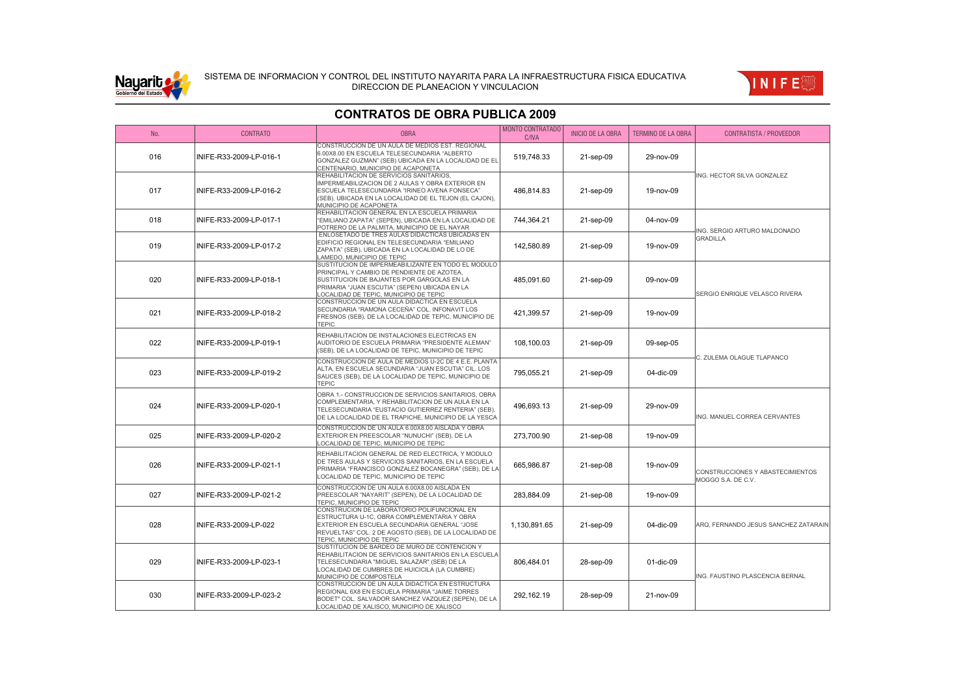



#### No. CONTRATO OBRA MONTO CONTRATADO MONTO CONTRATADO | INICIO DE LA OBRA | TERMINO DE LA OBRA | CONTRATISTA / PROVEEDOR 016 INIFE-R33-2009-LP-016-1 CONSTRUCCION DE UN AULA DE MEDIOS EST. REGIONAL 6.00X8.00 EN ESCUELA TELESECUNDARIA "ALBERTO GONZALEZ GUZMAN" (SEB) UBICADA EN LA LOCALIDAD DE EL CENTENARIO, MUNICIPIO DE ACAPONETA 519,748.33 21-sep-09 29-nov-09 017 INIFF-R33-2009-LP-016-2 REHABILITACION DE SERVICIOS SANITARIOS, IMPERMEABILIZACION DE 2 AULAS Y OBRA EXTERIOR EN ESCUELA TELESECUNDARIA "IRINEO AVENA FONSECA" (SEB), UBICADA EN LA LOCALIDAD DE EL TEJON (EL CAJON), MUNICIPIO DE ACAPONETA 486,814.83 21-sep-09 19-nov-09 018 |INIFE-R33-2009-LP-017-1 REHABILITACION GENERAL EN LA ESCUELA PRIMARIA "EMILIANO ZAPATA" (SEPEN), UBICADA EN LA LOCALIDAD DE POTRERO DE LA PALMITA, MUNICIPIO DE EL NAYAR 744,364.21 | 21-sep-09 | 04-nov-09 019 INIFE-R33-2009-LP-017-2 ENLOSETADO DE TRES AULAS DIDACTICAS UBICADAS EN EDIFICIO REGIONAL EN TELESECUNDARIA "EMILIANO ZAPATA" (SEB), UBICADA EN LA LOCALIDAD DE LO DE LAMEDO, MUNICIPIO DE TEPIC 142,580.89 21-sep-09 19-nov-09 020 INIFE-R33-2009-LP-018-1 SUSTITUCION DE IMPERMEABILIZANTE EN TODO EL MODULO PRINCIPAL Y CAMBIO DE PENDIENTE DE AZOTEA, SUSTITUCION DE BAJANTES POR GARGOLAS EN LA PRIMARIA "JUAN ESCUTIA" (SEPEN) UBICADA EN LA LOCALIDAD DE TEPIC, MUNICIPIO DE TEPIC 485,091.60 21-sep-09 09-nov-09 021 INIFF-R33-2009-LP-018-2 CONSTRUCCION DE UN AULA DIDACTICA EN ESCUELA SECUNDARIA "RAMONA CECEÑA" COL. INFONAVIT LOS FRESNOS (SEB), DE LA LOCALIDAD DE TEPIC, MUNICIPIO DE TEPIC 421,399.57 21-sep-09 19-nov-09 022 INIFE-R33-2009-LP-019-1 REHABILITACION DE INSTALACIONES ELECTRICAS EN AUDITORIO DE ESCUELA PRIMARIA "PRESIDENTE ALEMAN" (SEB), DE LA LOCALIDAD DE TEPIC, MUNICIPIO DE TEPIC 108,100.03 21-sep-09 09-sep-05 023 INIFE-R33-2009-LP-019-2 CONSTRUCCION DE AULA DE MEDIOS U-2C DE 4 E.E. PLANTA ALTA, EN ESCUELA SECUNDARIA "JUAN ESCUTIA" CIL. LOS SAUCES (SEB), DE LA LOCALIDAD DE TEPIC, MUNICIPIO DE TEPIC 795,055.21 21-sep-09 04-dic-09 024 INIFE-R33-2009-LP-020-1 OBRA 1.- CONSTRUCCION DE SERVICIOS SANITARIOS, OBRA COMPLEMENTARIA, Y REHABILITACION DE UN AULA EN LA TELESECUNDARIA "EUSTACIO GUTIERREZ RENTERIA" (SEB), DE LA LOCALIDAD DE EL TRAPICHE, MUNICIPIO DE LA YESCA 496,693.13 21-sep-09 29-nov-09 025 INIFE-R33-2009-LP-020-2 CONSTRUCCION DE UN AULA 6.00X8.00 AISLADA Y OBRA EXTERIOR EN PREESCOLAR "NUNUCHI" (SEB), DE LA LOCALIDAD DE TEPIC, MUNICIPIO DE TEPIC 273,700.90 21-sep-08 19-nov-09 026 INIFE-R33-2009-LP-021-1 REHABILITACION GENERAL DE RED ELECTRICA, Y MODULO DE TRES AULAS Y SERVICIOS SANITARIOS, EN LA ESCUELA PRIMARIA "FRANCISCO GONZALEZ BOCANEGRA" (SEB), DE LA LOCALIDAD DE TEPIC, MUNICIPIO DE TEPIC 665,986.87 21-sep-08 19-nov-09 027 INIFE-R33-2009-LP-021-2 CONSTRUCCION DE UN AULA 6.00X8.00 AISLADA EN PREESCOLAR "NAYARIT" (SEPEN), DE LA LOCALIDAD DE TEPIC, MUNICIPIO DE TEPIC 283,884.09 21-sep-08 19-nov-09 028 INIFE-R33-2009-LP-022 CONSTRUCION DE LABORATORIO POLIFUNCIONAL EN ESTRUCTURA U-1C, OBRA COMPLEMENTARIA Y OBRA EXTERIOR EN ESCUELA SECUNDARIA GENERAL "JOSE REVUELTAS" COL. 2 DE AGOSTO (SEB), DE LA LOCALIDAD DE TEPIC, MUNICIPIO DE TEPIC 1,130,891.65 21-sep-09 04-dic-09 ARQ, FERNANDO JESUS SANCHEZ ZATARAIN 029 INIFF-R33-2009-LP-023-1 SUSTITUCION DE BARDEO DE MURO DE CONTENCION Y REHABILITACION DE SERVICIOS SANITARIOS EN LA ESCUELA TELESECUNDARIA "MIGUEL SALAZAR" (SEB) DE LA LOCALIDAD DE CUMBRES DE HUICICILA (LA CUMBRE) MUNICIPIO DE COMPOSTELA 806,484.01 28-sep-09 01-dic-09 030 INIFE-R33-2009-LP-023-2 CONSTRUCCION DE UN AULA DIDACTICA EN ESTRUCTURA REGIONAL 6X8 EN ESCUELA PRIMARIA "JAIME TORRES BODET" COL. SALVADOR SANCHEZ VAZQUEZ (SEPEN), DE LA 292,162.19 28-sep-09 21-nov-09 ING. HECTOR SILVA GONZALEZ ING. SERGIO ARTURO MALDONADO GRADILLA SERGIO ENRIQUE VELASCO RIVERA C. ZULEMA OLAGUE TLAPANCO ING. MANUEL CORREA CERVANTES CONSTRUCCIONES Y ABASTECIMIENTOS MOGGO S.A. DE C.V. ING. FAUSTINO PLASCENCIA BERNAL

LOCALIDAD DE XALISCO, MUNICIPIO DE XALISCO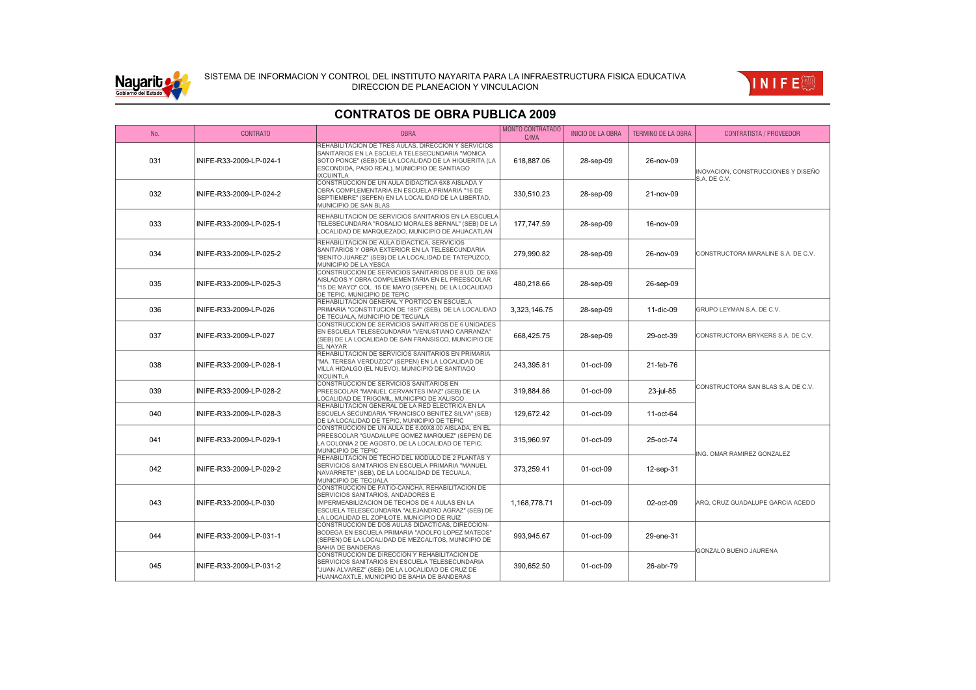

### SISTEMA DE INFORMACION Y CONTROL DEL INSTITUTO NAYARITA PARA LA INFRAESTRUCTURA FISICA EDUCATIVA DIRECCION DE PLANEACION Y VINCULACION



#### No. CONTRATO OBRA MONTO CONTRATADO MONTO CONTRATADO | INICIO DE LA OBRA | TERMINO DE LA OBRA | CONTRATISTA / PROVEEDOR 031 | INIFE-R33-2009-LP-024-1 REHABILITACION DE TRES AULAS, DIRECCION Y SERVICIOS SANITARIOS EN LA ESCUELA TELESECUNDARIA "MONICA SOTO PONCE" (SEB) DE LA LOCALIDAD DE LA HIGUERITA (LA ESCONDIDA, PASO REAL), MUNICIPIO DE SANTIAGO IXCUINTLA 618,887.06 28-sep-09 26-nov-09 032 INIFE-R33-2009-LP-024-2 CONSTRUCCION DE UN AULA DIDACTICA 6X8 AISLADA Y OBRA COMPLEMENTARIA EN ESCUELA PRIMARIA "16 DE SEPTIEMBRE" (SEPEN) EN LA LOCALIDAD DE LA LIBERTAD, MUNICIPIO DE SAN BLAS 330,510.23 28-sep-09 21-nov-09 033 INIFE-R33-2009-LP-025-1 REHABILITACION DE SERVICIOS SANITARIOS EN LA ESCUELA TELESECUNDARIA "ROSALIO MORALES BERNAL" (SEB) DE LA LOCALIDAD DE MARQUEZADO, MUNICIPIO DE AHUACATLAN 177,747.59 **28-sep-09** 16-nov-09 034 INIFE-R33-2009-LP-025-2 REHABILITACION DE AULA DIDACTICA, SERVICIOS SANITARIOS Y OBRA EXTERIOR EN LA TELESECUNDARIA "BENITO JUAREZ" (SEB) DE LA LOCALIDAD DE TATEPUZCO, MUNICIPIO DE LA YESCA 279,990.82 28-sep-09 26-nov-09 035 INIFE-R33-2009-LP-025-3 CONSTRUCCION DE SERVICIOS SANITARIOS DE 8 UD. DE 6X6 AISLADOS Y OBRA COMPLEMENTARIA EN EL PREESCOLAR "15 DE MAYO" COL. 15 DE MAYO (SEPEN), DE LA LOCALIDAD DE TEPIC, MUNICIPIO DE TEPIC 480,218.66 28-sep-09 26-sep-09 036 INIFE-R33-2009-LP-026 REHABILITACION GENERAL Y PORTICO EN ESCUELA PRIMARIA "CONSTITUCION DE 1857" (SEB), DE LA LOCALIDAD DE TECUALA, MUNICIPIO DE TECUALA 3,323,146.75 28-sep-09 11-dic-09 GRUPO LEYMAN S.A. DE C.V. 037 INIFE-R33-2009-LP-027 CONSTRUCCION DE SERVICIOS SANITARIOS DE 6 UNIDADES EN ESCUELA TELESECUNDARIA "VENUSTIANO CARRANZA" (SEB) DE LA LOCALIDAD DE SAN FRANSISCO, MUNICIPIO DE .<br>FI NAYAR 668,425.75 28-sep-09 29-oct-39 CONSTRUCTORA BRYKERS S.A. DE C.V. 038 INIFE-R33-2009-LP-028-1 REHABILITACION DE SERVICIOS SANITARIOS EN PRIMARIA "MA. TERESA VERDUZCO" (SEPEN) EN LA LOCALIDAD DE VILLA HIDALGO (EL NUEVO), MUNICIPIO DE SANTIAGO IXCUINTLA 243,395.81 01-oct-09 21-feb-76 039 INIFE-R33-2009-LP-028-2 CONSTRUCCION DE SERVICIOS SANITARIOS EN PREESCOLAR "MANUEL CERVANTES IMAZ" (SEB) DE LA LOCALIDAD DE TRIGOMIL, MUNICIPIO DE XALISCO 319,884.86 01-oct-09 23-jul-85 040 INIFE-R33-2009-LP-028-3 REHABILITACION GENERAL DE LA RED ELECTRICA EN LA ESCUELA SECUNDARIA "FRANCISCO BENITEZ SILVA" (SEB) DE LA LOCALIDAD DE TEPIC, MUNICIPIO DE TEPIC 129,672.42 01-oct-09 11-oct-64 041 INIFE-R33-2009-LP-029-1 CONSTRUCCION DE UN AULA DE 6.00X8.00 AISLADA, EN EL PREESCOLAR "GUADALUPE GOMEZ MARQUEZ" (SEPEN) DE LA COLONIA 2 DE AGOSTO, DE LA LOCALIDAD DE TEPIC, MUNICIPIO DE TEPIC 315,960.97 01-oct-09 25-oct-74 042 INIFE-R33-2009-LP-029-2 REHABILITACION DE TECHO DEL MODULO DE 2 PLANTAS Y SERVICIOS SANITARIOS EN ESCUELA PRIMARIA "MANUEL NAVARRETE" (SEB), DE LA LOCALIDAD DE TECUALA, MUNICIPIO DE TECUALA 373,259.41 01-oct-09 12-sep-31 043 INIFE-R33-2009-LP-030 CONSTRUCCION DE PATIO-CANCHA, REHABILITACION DE SERVICIOS SANITARIOS, ANDADORES E IMPERMEABILIZACION DE TECHOS DE 4 AULAS EN LA ESCUELA TELESECUNDARIA "ALEJANDRO AGRAZ" (SEB) DE LA LOCALIDAD EL ZOPILOTE, MUNICIPIO DE RUIZ 1,168,778.71 01-oct-09 02-oct-09 ARQ, CRUZ GUADALUPE GARCIA ACEDO 044 INIFE-R33-2009-LP-031-1 CONSTRUCCION DE DOS AULAS DIDACTICAS, DIRECCION-BODEGA EN ESCUELA PRIMARIA "ADOLFO LOPEZ MATEOS" (SEPEN) DE LA LOCALIDAD DE MEZCALITOS, MUNICIPIO DE BAHIA DE BANDERAS 993,945.67 01-oct-09 29-ene-31 045 INIFE-R33-2009-LP-031-2 CONSTRUCCION DE DIRECCION Y REHABILITACION DE SERVICIOS SANITARIOS EN ESCUELA TELESECUNDARIA "JUAN ALVAREZ" (SEB) DE LA LOCALIDAD DE CRUZ DE HUANACAXTLE, MUNICIPIO DE BAHIA DE BANDERAS 390,652.50 01-oct-09 26-abr-79 INOVACION, CONSTRUCCIONES Y DISEÑO S.A. DE C.V. CONSTRUCTORA MARALINE S.A. DE C.V. CONSTRUCTORA SAN BLAS S.A. DE C.V. ING. OMAR RAMIREZ GONZALEZ GONZALO BUENO JAURENA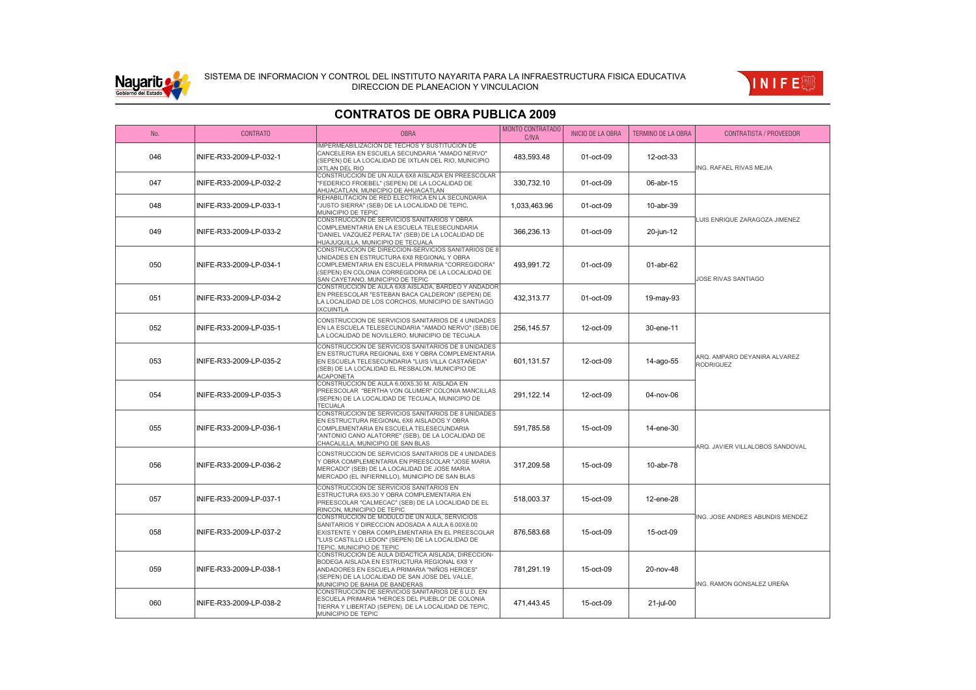



| No. | <b>CONTRATO</b>         | <b>OBRA</b>                                                                                                                                                                                                                                    | <b>MONTO CONTRATADO</b><br>C/IVA | <b>INICIO DE LA OBRA</b> | <b>TERMINO DE LA OBRA</b> | <b>CONTRATISTA / PROVEEDOR</b>                   |
|-----|-------------------------|------------------------------------------------------------------------------------------------------------------------------------------------------------------------------------------------------------------------------------------------|----------------------------------|--------------------------|---------------------------|--------------------------------------------------|
| 046 | INIFE-R33-2009-LP-032-1 | <b>IMPERMEABILIZACION DE TECHOS Y SUSTITUCION DE</b><br>CANCELERIA EN ESCUELA SECUNDARIA "AMADO NERVO"<br>(SEPEN) DE LA LOCALIDAD DE IXTLAN DEL RIO, MUNICIPIO<br><b>XTLAN DEL RIO</b>                                                         | 483,593.48                       | 01-oct-09                | 12-oct-33                 | ING. RAFAEL RIVAS MEJIA                          |
| 047 | INIFE-R33-2009-LP-032-2 | CONSTRUCCION DE UN AULA 6X8 AISLADA EN PREESCOLAR<br>'FEDERICO FROEBEL" (SEPEN) DE LA LOCALIDAD DE<br>AHUACATLAN, MUNICIPIO DE AHUACATLAN                                                                                                      | 330,732.10                       | 01-oct-09                | 06-abr-15                 |                                                  |
| 048 | INIFE-R33-2009-LP-033-1 | REHABILITACION DE RED ELECTRICA EN LA SECUNDARIA<br>"JUSTO SIERRA" (SEB) DE LA LOCALIDAD DE TEPIC,<br>MUNICIPIO DE TEPIC                                                                                                                       | 1,033,463.96                     | 01-oct-09                | 10-abr-39                 | LUIS ENRIQUE ZARAGOZA JIMENEZ                    |
| 049 | INIFE-R33-2009-LP-033-2 | CONSTRUCCION DE SERVICIOS SANITARIOS Y OBRA<br>COMPLEMENTARIA EN LA ESCUELA TELESECUNDARIA<br>"DANIEL VAZQUEZ PERALTA" (SEB) DE LA LOCALIDAD DE<br>HUAJUQUILLA, MUNICIPIO DE TECUALA                                                           | 366,236.13                       | 01-oct-09                | $20$ -jun-12              |                                                  |
| 050 | INIFE-R33-2009-LP-034-1 | CONSTRUCCION DE DIRECCION-SERVICIOS SANITARIOS DE 8<br>UNIDADES EN ESTRUCTURA 6X8 REGIONAL Y OBRA<br>COMPLEMENTARIA EN ESCUELA PRIMARIA "CORREGIDORA"<br>(SEPEN) EN COLONIA CORREGIDORA DE LA LOCALIDAD DE<br>SAN CAYETANO, MUNICIPIO DE TEPIC | 493,991.72                       | 01-oct-09                | 01-abr-62                 | <b>JOSE RIVAS SANTIAGO</b>                       |
| 051 | INIFE-R33-2009-LP-034-2 | CONSTRUCCION DE AULA 6X8 AISLADA, BARDEO Y ANDADOR<br>EN PREESCOLAR "ESTEBAN BACA CALDERON" (SEPEN) DE<br>LA LOCALIDAD DE LOS CORCHOS, MUNICIPIO DE SANTIAGO<br><b>IXCUINTLA</b>                                                               | 432,313.77                       | 01-oct-09                | 19-may-93                 |                                                  |
| 052 | INIFE-R33-2009-LP-035-1 | CONSTRUCCION DE SERVICIOS SANITARIOS DE 4 UNIDADES<br>EN LA ESCUELA TELESECUNDARIA "AMADO NERVO" (SEB) DE<br>LA LOCALIDAD DE NOVILLERO, MUNICIPIO DE TECUALA                                                                                   | 256.145.57                       | 12-oct-09                | 30-ene-11                 |                                                  |
| 053 | INIFE-R33-2009-LP-035-2 | CONSTRUCCION DE SERVICIOS SANITARIOS DE 8 UNIDADES<br>EN ESTRUCTURA REGIONAL 6X6 Y OBRA COMPLEMENTARIA<br>EN ESCUELA TELESECUNDARIA "LUIS VILLA CASTAÑEDA"<br>(SEB) DE LA LOCALIDAD EL RESBALON, MUNICIPIO DE<br><b>ACAPONETA</b>              | 601.131.57                       | 12-oct-09                | 14-ago-55                 | ARQ. AMPARO DEYANIRA ALVAREZ<br><b>RODRIGUEZ</b> |
| 054 | INIFE-R33-2009-LP-035-3 | CONSTRUCCION DE AULA 6.00X5.30 M. AISLADA EN<br>PREESCOLAR "BERTHA VON GLUMER" COLONIA MANCILLAS<br>(SEPEN) DE LA LOCALIDAD DE TECUALA, MUNICIPIO DE<br><b>TECUALA</b>                                                                         | 291,122.14                       | 12-oct-09                | 04-nov-06                 |                                                  |
| 055 | INIFE-R33-2009-LP-036-1 | CONSTRUCCION DE SERVICIOS SANITARIOS DE 8 UNIDADES<br>EN ESTRUCTURA REGIONAL 6X6 AISLADOS Y OBRA<br>COMPLEMENTARIA EN ESCUELA TELESECUNDARIA<br>"ANTONIO CANO ALATORRE" (SEB), DE LA LOCALIDAD DE<br>CHACALILLA, MUNICIPIO DE SAN BLAS         | 591,785.58                       | 15-oct-09                | 14-ene-30                 | ARQ. JAVIER VILLALOBOS SANDOVAL                  |
| 056 | INIFE-R33-2009-LP-036-2 | CONSTRUCCION DE SERVICIOS SANITARIOS DE 4 UNIDADES<br>Y OBRA COMPLEMENTARIA EN PREESCOLAR "JOSE MARIA<br>MERCADO" (SEB) DE LA LOCALIDAD DE JOSE MARIA<br>MERCADO (EL INFIERNILLO), MUNICIPIO DE SAN BLAS                                       | 317,209.58                       | 15-oct-09                | 10-abr-78                 |                                                  |
| 057 | INIFE-R33-2009-LP-037-1 | CONSTRUCCION DE SERVICIOS SANITARIOS EN<br>ESTRUCTURA 6X5.30 Y OBRA COMPLEMENTARIA EN<br>PREESCOLAR "CALMECAC" (SEB) DE LA LOCALIDAD DE EL<br>RINCON, MUNICIPIO DE TEPIC                                                                       | 518,003.37                       | 15-oct-09                | 12-ene-28                 |                                                  |
| 058 | INIFE-R33-2009-LP-037-2 | CONSTRUCCION DE MODULO DE UN AULA, SERVICIOS<br>SANITARIOS Y DIRECCION ADOSADA A AULA 6.00X8.00<br>EXISTENTE Y OBRA COMPLEMENTARIA EN EL PREESCOLAR<br>"LUIS CASTILLO LEDON" (SEPEN) DE LA LOCALIDAD DE<br>TEPIC, MUNICIPIO DE TEPIC           | 876.583.68                       | 15-oct-09                | 15-oct-09                 | ING. JOSE ANDRES ABUNDIS MENDEZ                  |
| 059 | INIFE-R33-2009-LP-038-1 | CONSTRUCCION DE AULA DIDACTICA AISLADA, DIRECCION-<br>BODEGA AISLADA EN ESTRUCTURA REGIONAL 6X8 Y<br>ANDADORES EN ESCUELA PRIMARIA "NIÑOS HEROES"<br>(SEPEN) DE LA LOCALIDAD DE SAN JOSE DEL VALLE,<br>MUNICIPIO DE BAHIA DE BANDERAS          | 781,291.19                       | 15-oct-09                | 20-nov-48                 | ING. RAMON GONSALEZ UREÑA                        |
| 060 | INIFE-R33-2009-LP-038-2 | CONSTRUCCION DE SERVICIOS SANITARIOS DE 6 U.D. EN<br>ESCUELA PRIMARIA "HEROES DEL PUEBLO" DE COLONIA<br>TIERRA Y LIBERTAD (SEPEN), DE LA LOCALIDAD DE TEPIC,<br>MUNICIPIO DE TEPIC                                                             | 471,443.45                       | 15-oct-09                | 21-jul-00                 |                                                  |